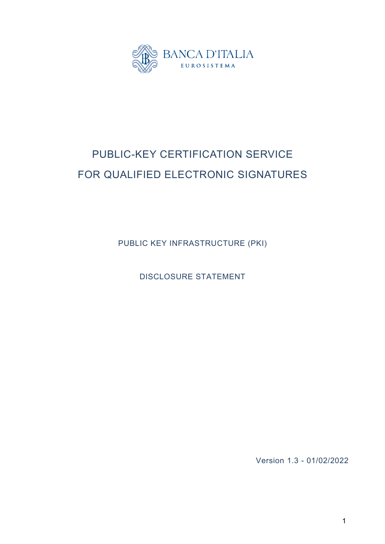

# PUBLIC-KEY CERTIFICATION SERVICE FOR QUALIFIED ELECTRONIC SIGNATURES

PUBLIC KEY INFRASTRUCTURE (PKI)

DISCLOSURE STATEMENT

Version 1.3 - 01/02/2022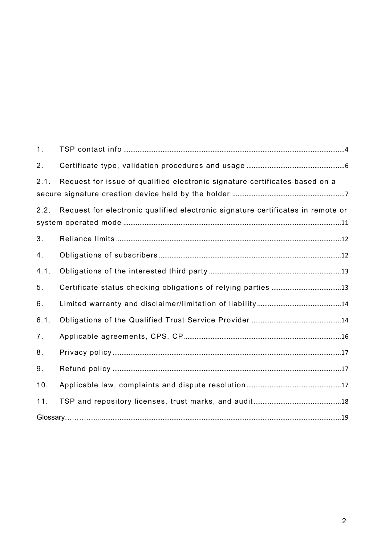| 1.             |                                                                                 |
|----------------|---------------------------------------------------------------------------------|
| 2.             |                                                                                 |
| 2.1.           | Request for issue of qualified electronic signature certificates based on a     |
|                |                                                                                 |
| 2.2.           | Request for electronic qualified electronic signature certificates in remote or |
|                |                                                                                 |
| 3.             |                                                                                 |
| 4.             |                                                                                 |
| 4.1.           |                                                                                 |
| 5.             |                                                                                 |
| 6.             |                                                                                 |
| 6.1.           |                                                                                 |
| 7 <sub>1</sub> |                                                                                 |
| 8.             |                                                                                 |
| 9.             |                                                                                 |
| 10.            |                                                                                 |
| 11.            |                                                                                 |
|                |                                                                                 |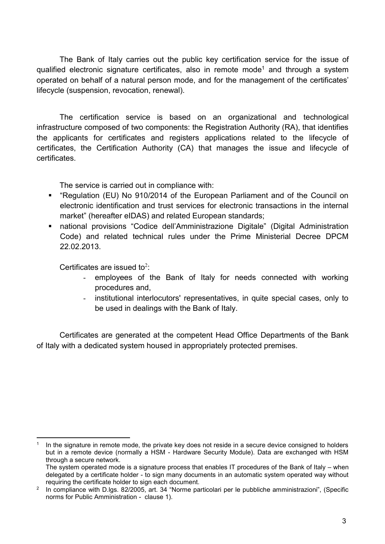The Bank of Italy carries out the public key certification service for the issue of qualified electronic signature certificates, also in remote mode<sup>1</sup> and through a system operated on behalf of a natural person mode, and for the management of the certificates' lifecycle (suspension, revocation, renewal).

The certification service is based on an organizational and technological infrastructure composed of two components: the Registration Authority (RA), that identifies the applicants for certificates and registers applications related to the lifecycle of certificates, the Certification Authority (CA) that manages the issue and lifecycle of certificates.

The service is carried out in compliance with:

- "Regulation (EU) No 910/2014 of the European Parliament and of the Council on electronic identification and trust services for electronic transactions in the internal market" (hereafter eIDAS) and related European standards;
- national provisions "Codice dell'Amministrazione Digitale" (Digital Administration Code) and related technical rules under the Prime Ministerial Decree DPCM 22.02.2013.

Certificates are issued to<sup>2</sup>:

 $\overline{a}$ 

- employees of the Bank of Italy for needs connected with working procedures and,
- institutional interlocutors' representatives, in quite special cases, only to be used in dealings with the Bank of Italy.

Certificates are generated at the competent Head Office Departments of the Bank of Italy with a dedicated system housed in appropriately protected premises.

<sup>1</sup> In the signature in remote mode, the private key does not reside in a secure device consigned to holders but in a remote device (normally a HSM - Hardware Security Module). Data are exchanged with HSM through a secure network.

The system operated mode is a signature process that enables IT procedures of the Bank of Italy – when delegated by a certificate holder - to sign many documents in an automatic system operated way without requiring the certificate holder to sign each document.

 $^2$  In compliance with D.lgs. 82/2005, art. 34 "Norme particolari per le pubbliche amministrazioni", (Specific norms for Public Amministration - clause 1).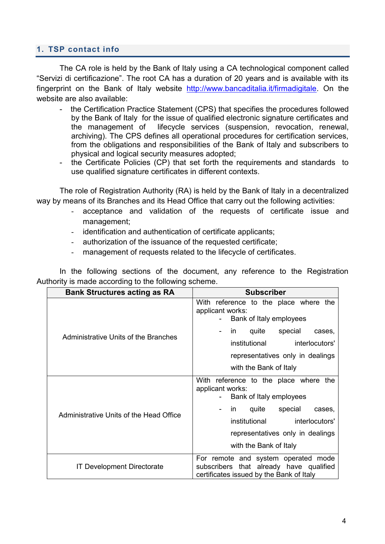#### <span id="page-3-0"></span>**1. TSP contact info**

The CA role is held by the Bank of Italy using a CA technological component called "Servizi di certificazione". The root CA has a duration of 20 years and is available with its fingerprint on the Bank of Italy website [http://www.bancaditalia.it/firmadigitale.](http://www.bancaditalia.it/firmadigitale) On the website are also available:

- the Certification Practice Statement (CPS) that specifies the procedures followed by the Bank of Italy for the issue of qualified electronic signature certificates and the management of lifecycle services (suspension, revocation, renewal, archiving). The CPS defines all operational procedures for certification services, from the obligations and responsibilities of the Bank of Italy and subscribers to physical and logical security measures adopted;
- the Certificate Policies (CP) that set forth the requirements and standards to use qualified signature certificates in different contexts.

The role of Registration Authority (RA) is held by the Bank of Italy in a decentralized way by means of its Branches and its Head Office that carry out the following activities:

- acceptance and validation of the requests of certificate issue and management;
- identification and authentication of certificate applicants;
- authorization of the issuance of the requested certificate;
- management of requests related to the lifecycle of certificates.

In the following sections of the document, any reference to the Registration Authority is made according to the following scheme.

| <b>Bank Structures acting as RA</b>     | <b>Subscriber</b>                                                                                                                                                                                                             |
|-----------------------------------------|-------------------------------------------------------------------------------------------------------------------------------------------------------------------------------------------------------------------------------|
| Administrative Units of the Branches    | With reference to the place where the<br>applicant works:<br>Bank of Italy employees<br>special<br>quite<br>in.<br>cases,<br>institutional<br>interlocutors'<br>representatives only in dealings<br>with the Bank of Italy    |
| Administrative Units of the Head Office | With reference to the place where<br>the<br>applicant works:<br>Bank of Italy employees<br>quite<br>special<br>in.<br>cases.<br>institutional<br>interlocutors'<br>representatives only in dealings<br>with the Bank of Italy |
| <b>IT Development Directorate</b>       | For remote and system operated mode<br>subscribers that already have qualified<br>certificates issued by the Bank of Italy                                                                                                    |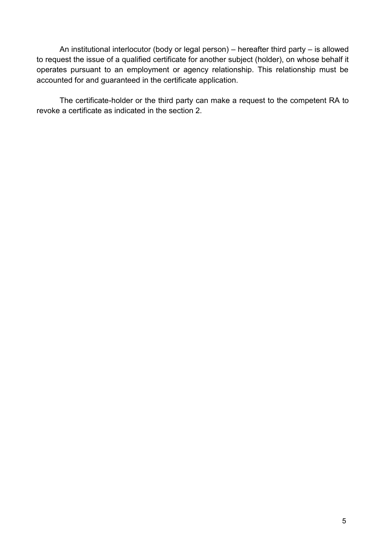An institutional interlocutor (body or legal person) – hereafter third party – is allowed to request the issue of a qualified certificate for another subject (holder), on whose behalf it operates pursuant to an employment or agency relationship. This relationship must be accounted for and guaranteed in the certificate application.

The certificate-holder or the third party can make a request to the competent RA to revoke a certificate as indicated in the section 2.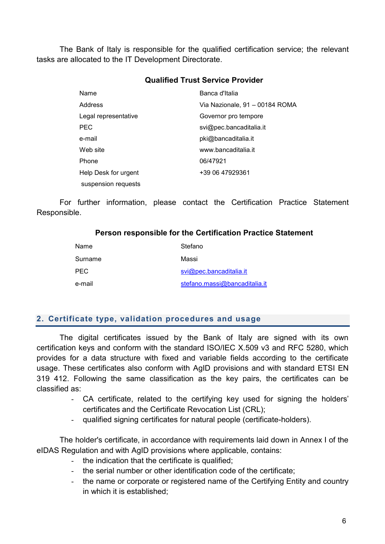The Bank of Italy is responsible for the qualified certification service; the relevant tasks are allocated to the IT Development Directorate.

#### **Qualified Trust Service Provider**

| Name                 | Banca d'Italia                 |
|----------------------|--------------------------------|
| <b>Address</b>       | Via Nazionale, 91 - 00184 ROMA |
| Legal representative | Governor pro tempore           |
| PEC                  | svi@pec.bancaditalia.it        |
| e-mail               | pki@bancaditalia.it            |
| Web site             | www.bancaditalia.it            |
| Phone                | 06/47921                       |
| Help Desk for urgent | +39 06 47929361                |
| suspension requests  |                                |

For further information, please contact the Certification Practice Statement Responsible.

#### **Person responsible for the Certification Practice Statement**

| Name       | Stefano                       |
|------------|-------------------------------|
| Surname    | Massi                         |
| <b>PEC</b> | svi@pec.bancaditalia.it       |
| e-mail     | stefano.massi@bancaditalia.it |

## <span id="page-5-0"></span>**2. Certificate type, validation procedures and usage**

The digital certificates issued by the Bank of Italy are signed with its own certification keys and conform with the standard ISO/IEC X.509 v3 and RFC 5280, which provides for a data structure with fixed and variable fields according to the certificate usage. These certificates also conform with AgID provisions and with standard ETSI EN 319 412. Following the same classification as the key pairs, the certificates can be classified as:

- CA certificate, related to the certifying key used for signing the holders' certificates and the Certificate Revocation List (CRL);
- qualified signing certificates for natural people (certificate-holders).

The holder's certificate, in accordance with requirements laid down in Annex I of the eIDAS Regulation and with AgID provisions where applicable, contains:

- the indication that the certificate is qualified;
- the serial number or other identification code of the certificate;
- the name or corporate or registered name of the Certifying Entity and country in which it is established;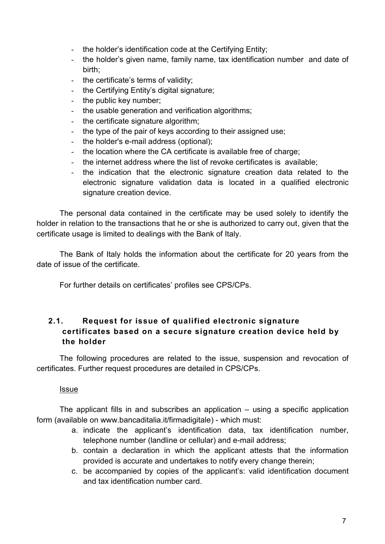- the holder's identification code at the Certifying Entity;
- the holder's given name, family name, tax identification number and date of birth;
- the certificate's terms of validity;
- the Certifying Entity's digital signature;
- the public key number;
- the usable generation and verification algorithms;
- the certificate signature algorithm;
- the type of the pair of keys according to their assigned use;
- the holder's e-mail address (optional);
- the location where the CA certificate is available free of charge;
- the internet address where the list of revoke certificates is available:
- the indication that the electronic signature creation data related to the electronic signature validation data is located in a qualified electronic signature creation device.

The personal data contained in the certificate may be used solely to identify the holder in relation to the transactions that he or she is authorized to carry out, given that the certificate usage is limited to dealings with the Bank of Italy.

The Bank of Italy holds the information about the certificate for 20 years from the date of issue of the certificate.

For further details on certificates' profiles see CPS/CPs.

# <span id="page-6-0"></span>**2.1. Request for issue of qualified electronic signature certificates based on a secure signature creation device held by the holder**

The following procedures are related to the issue, suspension and revocation of certificates. Further request procedures are detailed in CPS/CPs.

Issue

The applicant fills in and subscribes an application – using a specific application form (available on www.bancaditalia.it/firmadigitale) - which must:

- a. indicate the applicant's identification data, tax identification number, telephone number (landline or cellular) and e-mail address;
- b. contain a declaration in which the applicant attests that the information provided is accurate and undertakes to notify every change therein;
- c. be accompanied by copies of the applicant's: valid identification document and tax identification number card.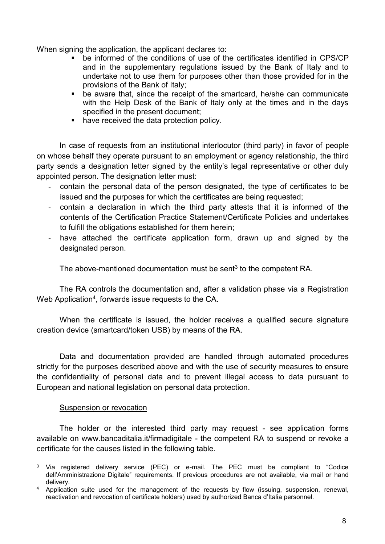When signing the application, the applicant declares to:

- be informed of the conditions of use of the certificates identified in CPS/CP and in the supplementary regulations issued by the Bank of Italy and to undertake not to use them for purposes other than those provided for in the provisions of the Bank of Italy;
- be aware that, since the receipt of the smartcard, he/she can communicate with the Help Desk of the Bank of Italy only at the times and in the days specified in the present document;
- have received the data protection policy.

In case of requests from an institutional interlocutor (third party) in favor of people on whose behalf they operate pursuant to an employment or agency relationship, the third party sends a designation letter signed by the entity's legal representative or other duly appointed person. The designation letter must:

- contain the personal data of the person designated, the type of certificates to be issued and the purposes for which the certificates are being requested;
- contain a declaration in which the third party attests that it is informed of the contents of the Certification Practice Statement/Certificate Policies and undertakes to fulfill the obligations established for them herein;
- have attached the certificate application form, drawn up and signed by the designated person.

The above-mentioned documentation must be sent<sup>3</sup> to the competent RA.

The RA controls the documentation and, after a validation phase via a Registration Web Application $4$ , forwards issue requests to the CA.

When the certificate is issued, the holder receives a qualified secure signature creation device (smartcard/token USB) by means of the RA.

Data and documentation provided are handled through automated procedures strictly for the purposes described above and with the use of security measures to ensure the confidentiality of personal data and to prevent illegal access to data pursuant to European and national legislation on personal data protection.

#### Suspension or revocation

The holder or the interested third party may request - see application forms available on www.bancaditalia.it/firmadigitale - the competent RA to suspend or revoke a certificate for the causes listed in the following table.

 $\overline{a}$ <sup>3</sup> Via registered delivery service (PEC) or e-mail. The PEC must be compliant to "Codice dell'Amministrazione Digitale" requirements. If previous procedures are not available, via mail or hand delivery.

<sup>&</sup>lt;sup>4</sup> Application suite used for the management of the requests by flow (issuing, suspension, renewal, reactivation and revocation of certificate holders) used by authorized Banca d'Italia personnel.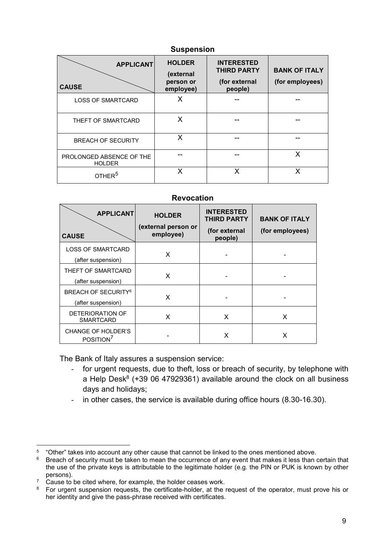| <b>OUSPEITSIUIT</b>                       |                                                      |                                                                     |                                         |
|-------------------------------------------|------------------------------------------------------|---------------------------------------------------------------------|-----------------------------------------|
| <b>APPLICANT</b><br><b>CAUSE</b>          | <b>HOLDER</b><br>(external<br>person or<br>employee) | <b>INTERESTED</b><br><b>THIRD PARTY</b><br>(for external<br>people) | <b>BANK OF ITALY</b><br>(for employees) |
| <b>LOSS OF SMARTCARD</b>                  | X                                                    |                                                                     |                                         |
| THEFT OF SMARTCARD                        | X                                                    |                                                                     |                                         |
| <b>BREACH OF SECURITY</b>                 | X                                                    |                                                                     |                                         |
| PROLONGED ABSENCE OF THE<br><b>HOLDER</b> |                                                      |                                                                     | X                                       |
| OTHER <sup>5</sup>                        | X                                                    | x                                                                   | Χ                                       |

**Suspension**

#### **Revocation**

| <b>APPLICANT</b><br><b>CAUSE</b>                            | <b>HOLDER</b><br>(external person or<br>employee) | <b>INTERESTED</b><br><b>THIRD PARTY</b><br>(for external<br>people) | <b>BANK OF ITALY</b><br>(for employees) |
|-------------------------------------------------------------|---------------------------------------------------|---------------------------------------------------------------------|-----------------------------------------|
| <b>LOSS OF SMARTCARD</b><br>(after suspension)              | X                                                 |                                                                     |                                         |
| THEFT OF SMARTCARD<br>(after suspension)                    | X                                                 |                                                                     |                                         |
| <b>BREACH OF SECURITY<sup>6</sup></b><br>(after suspension) | X                                                 |                                                                     |                                         |
| DETERIORATION OF<br><b>SMARTCARD</b>                        | X                                                 | X                                                                   | X                                       |
| <b>CHANGE OF HOLDER'S</b><br>POSITION <sup>7</sup>          |                                                   | x                                                                   | x                                       |

The Bank of Italy assures a suspension service:

- for urgent requests, due to theft, loss or breach of security, by telephone with a Help Desk $8$  (+39 06 47929361) available around the clock on all business days and holidays;
- in other cases, the service is available during office hours (8.30-16.30).

 $\overline{a}$  $5$  "Other" takes into account any other cause that cannot be linked to the ones mentioned above.

<sup>&</sup>lt;sup>6</sup> Breach of security must be taken to mean the occurrence of any event that makes it less than certain that the use of the private keys is attributable to the legitimate holder (e.g. the PIN or PUK is known by other persons).

<sup>&</sup>lt;sup>7</sup> Cause to be cited where, for example, the holder ceases work.

<sup>&</sup>lt;sup>8</sup> For urgent suspension requests, the certificate-holder, at the request of the operator, must prove his or her identity and give the pass-phrase received with certificates.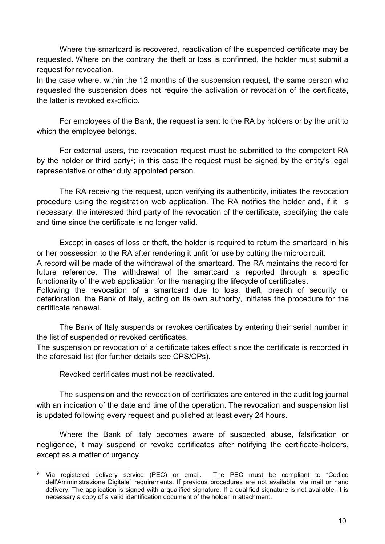Where the smartcard is recovered, reactivation of the suspended certificate may be requested. Where on the contrary the theft or loss is confirmed, the holder must submit a request for revocation.

In the case where, within the 12 months of the suspension request, the same person who requested the suspension does not require the activation or revocation of the certificate, the latter is revoked ex-officio.

For employees of the Bank, the request is sent to the RA by holders or by the unit to which the employee belongs.

For external users, the revocation request must be submitted to the competent RA by the holder or third party<sup>9</sup>; in this case the request must be signed by the entity's legal representative or other duly appointed person.

The RA receiving the request, upon verifying its authenticity, initiates the revocation procedure using the registration web application. The RA notifies the holder and, if it is necessary, the interested third party of the revocation of the certificate, specifying the date and time since the certificate is no longer valid.

Except in cases of loss or theft, the holder is required to return the smartcard in his or her possession to the RA after rendering it unfit for use by cutting the microcircuit. A record will be made of the withdrawal of the smartcard. The RA maintains the record for future reference. The withdrawal of the smartcard is reported through a specific functionality of the web application for the managing the lifecycle of certificates. Following the revocation of a smartcard due to loss, theft, breach of security or deterioration, the Bank of Italy, acting on its own authority, initiates the procedure for the certificate renewal.

The Bank of Italy suspends or revokes certificates by entering their serial number in the list of suspended or revoked certificates.

The suspension or revocation of a certificate takes effect since the certificate is recorded in the aforesaid list (for further details see CPS/CPs).

Revoked certificates must not be reactivated.

 $\overline{\phantom{a}}$ 

The suspension and the revocation of certificates are entered in the audit log journal with an indication of the date and time of the operation. The revocation and suspension list is updated following every request and published at least every 24 hours.

Where the Bank of Italy becomes aware of suspected abuse, falsification or negligence, it may suspend or revoke certificates after notifying the certificate-holders, except as a matter of urgency.

<sup>&</sup>lt;sup>9</sup> Via registered delivery service (PEC) or email. The PEC must be compliant to "Codice dell'Amministrazione Digitale" requirements. If previous procedures are not available, via mail or hand delivery. The application is signed with a qualified signature. If a qualified signature is not available, it is necessary a copy of a valid identification document of the holder in attachment.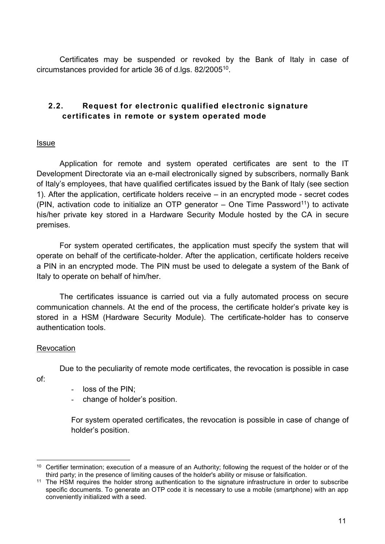Certificates may be suspended or revoked by the Bank of Italy in case of circumstances provided for article 36 of d.lgs. 82/2005 $^{\rm 10}$ .

# <span id="page-10-0"></span>**2.2. Request for electronic qualified electronic signature certificates in remote or system operated mode**

#### <u>Issue</u>

Application for remote and system operated certificates are sent to the IT Development Directorate via an e-mail electronically signed by subscribers, normally Bank of Italy's employees, that have qualified certificates issued by the Bank of Italy (see section 1). After the application, certificate holders receive – in an encrypted mode - secret codes (PIN, activation code to initialize an OTP generator  $-$  One Time Password<sup>11</sup>) to activate his/her private key stored in a Hardware Security Module hosted by the CA in secure premises.

For system operated certificates, the application must specify the system that will operate on behalf of the certificate-holder. After the application, certificate holders receive a PIN in an encrypted mode. The PIN must be used to delegate a system of the Bank of Italy to operate on behalf of him/her.

The certificates issuance is carried out via a fully automated process on secure communication channels. At the end of the process, the certificate holder's private key is stored in a HSM (Hardware Security Module). The certificate-holder has to conserve authentication tools.

#### **Revocation**

Due to the peculiarity of remote mode certificates, the revocation is possible in case

of:

- loss of the PIN;
- change of holder's position.

For system operated certificates, the revocation is possible in case of change of holder's position.

 $\overline{a}$ <sup>10</sup> Certifier termination; execution of a measure of an Authority; following the request of the holder or of the third party; in the presence of limiting causes of the holder's ability or misuse or falsification.

<sup>&</sup>lt;sup>11</sup> The HSM requires the holder strong authentication to the signature infrastructure in order to subscribe specific documents. To generate an OTP code it is necessary to use a mobile (smartphone) with an app conveniently initialized with a seed.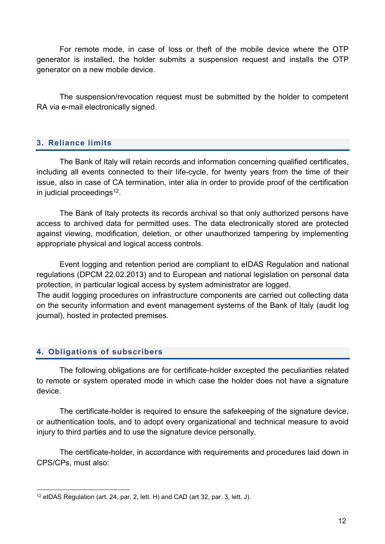For remote mode, in case of loss or theft of the mobile device where the OTP generator is installed, the holder submits a suspension request and installs the OTP generator on a new mobile device.

The suspension/revocation request must be submitted by the holder to competent RA via e-mail electronically signed.

# <span id="page-11-0"></span>**3. Reliance limits**

The Bank of Italy will retain records and information concerning qualified certificates, including all events connected to their life-cycle, for twenty years from the time of their issue, also in case of CA termination, inter alia in order to provide proof of the certification in judicial proceedings $^{12}$ .

The Bank of Italy protects its records archival so that only authorized persons have access to archived data for permitted uses. The data electronically stored are protected against viewing, modification, deletion, or other unauthorized tampering by implementing appropriate physical and logical access controls.

Event logging and retention period are compliant to eIDAS Regulation and national regulations (DPCM 22.02.2013) and to European and national legislation on personal data protection, in particular logical access by system administrator are logged.

The audit logging procedures on infrastructure components are carried out collecting data on the security information and event management systems of the Bank of Italy (audit log journal), hosted in protected premises.

# <span id="page-11-1"></span>**4. Obligations of subscribers**

The following obligations are for certificate-holder excepted the peculiarities related to remote or system operated mode in which case the holder does not have a signature device.

The certificate-holder is required to ensure the safekeeping of the signature device, or authentication tools, and to adopt every organizational and technical measure to avoid injury to third parties and to use the signature device personally.

The certificate-holder, in accordance with requirements and procedures laid down in CPS/CPs, must also:

 $\overline{\phantom{a}}$ <sup>12</sup> eIDAS Regulation (art. 24, par. 2, lett. H) and CAD (art 32, par. 3, lett. J).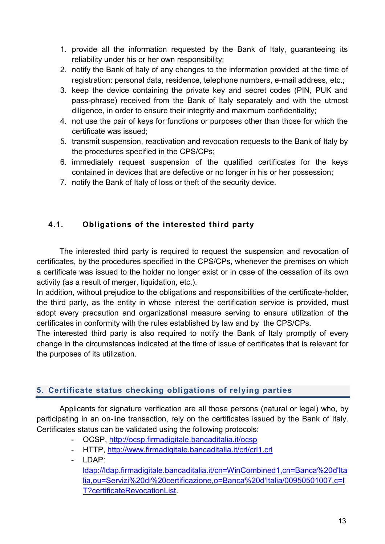- 1. provide all the information requested by the Bank of Italy, guaranteeing its reliability under his or her own responsibility;
- 2. notify the Bank of Italy of any changes to the information provided at the time of registration: personal data, residence, telephone numbers, e-mail address, etc.;
- 3. keep the device containing the private key and secret codes (PIN, PUK and pass-phrase) received from the Bank of Italy separately and with the utmost diligence, in order to ensure their integrity and maximum confidentiality;
- 4. not use the pair of keys for functions or purposes other than those for which the certificate was issued;
- 5. transmit suspension, reactivation and revocation requests to the Bank of Italy by the procedures specified in the CPS/CPs;
- 6. immediately request suspension of the qualified certificates for the keys contained in devices that are defective or no longer in his or her possession;
- 7. notify the Bank of Italy of loss or theft of the security device.

# <span id="page-12-0"></span>**4.1. Obligations of the interested third party**

The interested third party is required to request the suspension and revocation of certificates, by the procedures specified in the CPS/CPs, whenever the premises on which a certificate was issued to the holder no longer exist or in case of the cessation of its own activity (as a result of merger, liquidation, etc.).

In addition, without prejudice to the obligations and responsibilities of the certificate-holder, the third party, as the entity in whose interest the certification service is provided, must adopt every precaution and organizational measure serving to ensure utilization of the certificates in conformity with the rules established by law and by the CPS/CPs.

The interested third party is also required to notify the Bank of Italy promptly of every change in the circumstances indicated at the time of issue of certificates that is relevant for the purposes of its utilization.

# <span id="page-12-1"></span>**5. Certificate status checking obligations of relying parties**

Applicants for signature verification are all those persons (natural or legal) who, by participating in an on-line transaction, rely on the certificates issued by the Bank of Italy. Certificates status can be validated using the following protocols:

- OCSP,<http://ocsp.firmadigitale.bancaditalia.it/ocsp>
- HTTP,<http://www.firmadigitale.bancaditalia.it/crl/crl1.crl>
- LDAP:

[ldap://ldap.firmadigitale.bancaditalia.it/cn=WinCombined1,cn=Banca%20d'Ita](ldap://ldap.firmadigitale.bancaditalia.it/cn=WinCombined1,cn=Banca%20d) [lia,ou=Servizi%20di%20certificazione,o=Banca%20d'Italia/00950501007,c=I](ldap://ldap.firmadigitale.bancaditalia.it/cn=WinCombined1,cn=Banca%20d) [T?certificateRevocationList.](ldap://ldap.firmadigitale.bancaditalia.it/cn=WinCombined1,cn=Banca%20d)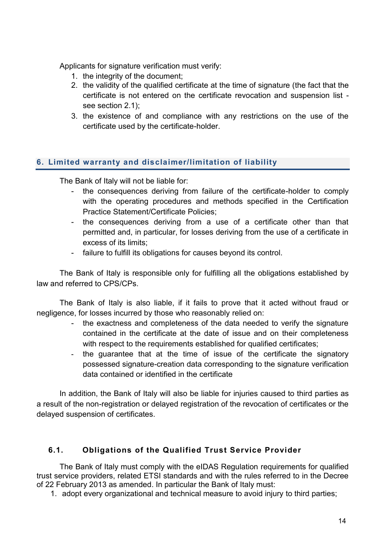Applicants for signature verification must verify:

- 1. the integrity of the document;
- 2. the validity of the qualified certificate at the time of signature (the fact that the certificate is not entered on the certificate revocation and suspension list see section 2.1);
- 3. the existence of and compliance with any restrictions on the use of the certificate used by the certificate-holder.

## <span id="page-13-0"></span>**6. Limited warranty and disclaimer/limitation of liability**

The Bank of Italy will not be liable for:

- the consequences deriving from failure of the certificate-holder to comply with the operating procedures and methods specified in the Certification Practice Statement/Certificate Policies;
- the consequences deriving from a use of a certificate other than that permitted and, in particular, for losses deriving from the use of a certificate in excess of its limits;
- failure to fulfill its obligations for causes beyond its control.

The Bank of Italy is responsible only for fulfilling all the obligations established by law and referred to CPS/CPs.

The Bank of Italy is also liable, if it fails to prove that it acted without fraud or negligence, for losses incurred by those who reasonably relied on:

- the exactness and completeness of the data needed to verify the signature contained in the certificate at the date of issue and on their completeness with respect to the requirements established for qualified certificates;
- the guarantee that at the time of issue of the certificate the signatory possessed signature-creation data corresponding to the signature verification data contained or identified in the certificate

In addition, the Bank of Italy will also be liable for injuries caused to third parties as a result of the non-registration or delayed registration of the revocation of certificates or the delayed suspension of certificates.

# <span id="page-13-1"></span>**6.1. Obligations of the Qualified Trust Service Provider**

The Bank of Italy must comply with the eIDAS Regulation requirements for qualified trust service providers, related ETSI standards and with the rules referred to in the Decree of 22 February 2013 as amended. In particular the Bank of Italy must:

1. adopt every organizational and technical measure to avoid injury to third parties;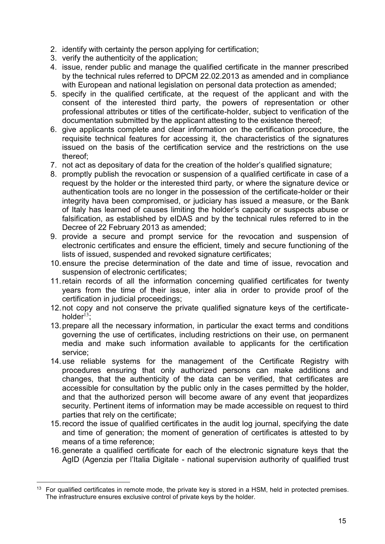- 2. identify with certainty the person applying for certification;
- 3. verify the authenticity of the application;
- 4. issue, render public and manage the qualified certificate in the manner prescribed by the technical rules referred to DPCM 22.02.2013 as amended and in compliance with European and national legislation on personal data protection as amended;
- 5. specify in the qualified certificate, at the request of the applicant and with the consent of the interested third party, the powers of representation or other professional attributes or titles of the certificate-holder, subject to verification of the documentation submitted by the applicant attesting to the existence thereof;
- 6. give applicants complete and clear information on the certification procedure, the requisite technical features for accessing it, the characteristics of the signatures issued on the basis of the certification service and the restrictions on the use thereof;
- 7. not act as depositary of data for the creation of the holder's qualified signature;
- 8. promptly publish the revocation or suspension of a qualified certificate in case of a request by the holder or the interested third party, or where the signature device or authentication tools are no longer in the possession of the certificate-holder or their integrity hava been compromised, or judiciary has issued a measure, or the Bank of Italy has learned of causes limiting the holder's capacity or suspects abuse or falsification, as established by eIDAS and by the technical rules referred to in the Decree of 22 February 2013 as amended;
- 9. provide a secure and prompt service for the revocation and suspension of electronic certificates and ensure the efficient, timely and secure functioning of the lists of issued, suspended and revoked signature certificates;
- 10.ensure the precise determination of the date and time of issue, revocation and suspension of electronic certificates;
- 11.retain records of all the information concerning qualified certificates for twenty years from the time of their issue, inter alia in order to provide proof of the certification in judicial proceedings;
- 12.not copy and not conserve the private qualified signature keys of the certificateholder $13$ :
- 13.prepare all the necessary information, in particular the exact terms and conditions governing the use of certificates, including restrictions on their use, on permanent media and make such information available to applicants for the certification service;
- 14.use reliable systems for the management of the Certificate Registry with procedures ensuring that only authorized persons can make additions and changes, that the authenticity of the data can be verified, that certificates are accessible for consultation by the public only in the cases permitted by the holder, and that the authorized person will become aware of any event that jeopardizes security. Pertinent items of information may be made accessible on request to third parties that rely on the certificate;
- 15.record the issue of qualified certificates in the audit log journal, specifying the date and time of generation; the moment of generation of certificates is attested to by means of a time reference;
- 16.generate a qualified certificate for each of the electronic signature keys that the AgID (Agenzia per l'Italia Digitale - national supervision authority of qualified trust

 $\overline{a}$ <sup>13</sup> For qualified certificates in remote mode, the private key is stored in a HSM, held in protected premises. The infrastructure ensures exclusive control of private keys by the holder.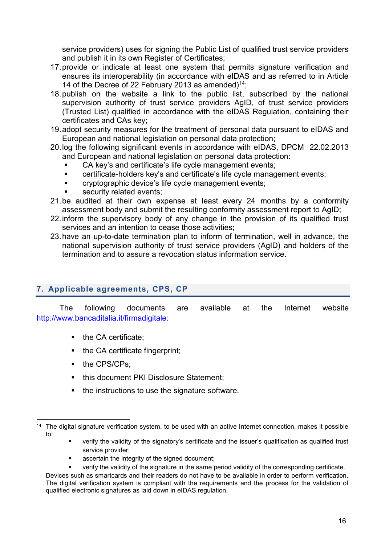service providers) uses for signing the Public List of qualified trust service providers and publish it in its own Register of Certificates;

- 17.provide or indicate at least one system that permits signature verification and ensures its interoperability (in accordance with eIDAS and as referred to in Article 14 of the Decree of 22 February 2013 as amended)<sup>14</sup>;
- 18.publish on the website a link to the public list, subscribed by the national supervision authority of trust service providers AgID, of trust service providers (Trusted List) qualified in accordance with the eIDAS Regulation, containing their certificates and CAs key;
- 19.adopt security measures for the treatment of personal data pursuant to eIDAS and European and national legislation on personal data protection;
- 20.log the following significant events in accordance with eIDAS, DPCM 22.02.2013 and European and national legislation on personal data protection:
	- CA key's and certificate's life cycle management events;
	- certificate-holders key's and certificate's life cycle management events;
	- **EXECT** cryptographic device's life cycle management events;
	- security related events;
- 21.be audited at their own expense at least every 24 months by a conformity assessment body and submit the resulting conformity assessment report to AgID;
- 22.inform the supervisory body of any change in the provision of its qualified trust services and an intention to cease those activities;
- 23.have an up-to-date termination plan to inform of termination, well in advance, the national supervision authority of trust service providers (AgID) and holders of the termination and to assure a revocation status information service.

# <span id="page-15-0"></span>**7. Applicable agreements, CPS, CP**

The following documents are available at the Internet website [http://www.bancaditalia.it/firmadigitale:](http://www.bancaditalia.it/firmadigitale)

- $\blacksquare$  the CA certificate:
- the CA certificate fingerprint;
- the CPS/CPs;
- **this document PKI Disclosure Statement;**
- $\blacksquare$  the instructions to use the signature software.

- verify the validity of the signatory's certificate and the issuer's qualification as qualified trust service provider;
- ascertain the integrity of the signed document;
- verify the validity of the signature in the same period validity of the corresponding certificate.

 $\overline{a}$ <sup>14</sup> The digital signature verification system, to be used with an active Internet connection, makes it possible to:

Devices such as smartcards and their readers do not have to be available in order to perform verification. The digital verification system is compliant with the requirements and the process for the validation of qualified electronic signatures as laid down in eIDAS regulation.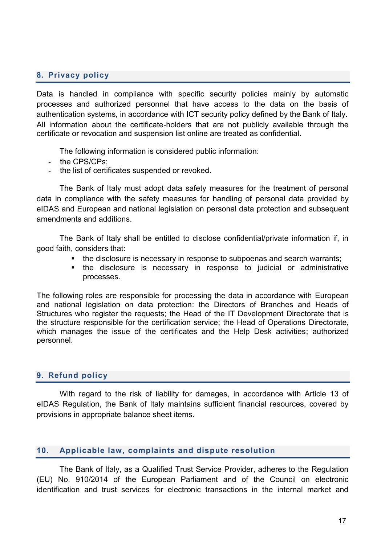### <span id="page-16-0"></span>**8. Privacy policy**

Data is handled in compliance with specific security policies mainly by automatic processes and authorized personnel that have access to the data on the basis of authentication systems, in accordance with ICT security policy defined by the Bank of Italy. All information about the certificate-holders that are not publicly available through the certificate or revocation and suspension list online are treated as confidential.

The following information is considered public information:

- the CPS/CPs:
- the list of certificates suspended or revoked.

The Bank of Italy must adopt data safety measures for the treatment of personal data in compliance with the safety measures for handling of personal data provided by eIDAS and European and national legislation on personal data protection and subsequent amendments and additions.

The Bank of Italy shall be entitled to disclose confidential/private information if, in good faith, considers that:

- the disclosure is necessary in response to subpoenas and search warrants;
- the disclosure is necessary in response to judicial or administrative processes.

The following roles are responsible for processing the data in accordance with European and national legislation on data protection: the Directors of Branches and Heads of Structures who register the requests; the Head of the IT Development Directorate that is the structure responsible for the certification service; the Head of Operations Directorate, which manages the issue of the certificates and the Help Desk activities; authorized personnel.

#### <span id="page-16-1"></span>**9. Refund policy**

With regard to the risk of liability for damages, in accordance with Article 13 of eIDAS Regulation, the Bank of Italy maintains sufficient financial resources, covered by provisions in appropriate balance sheet items.

#### <span id="page-16-2"></span>**10. Applicable law, complaints and dispute resolution**

The Bank of Italy, as a Qualified Trust Service Provider, adheres to the Regulation (EU) No. 910/2014 of the European Parliament and of the Council on electronic identification and trust services for electronic transactions in the internal market and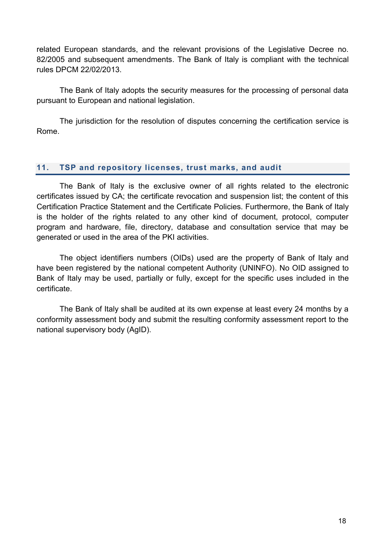related European standards, and the relevant provisions of the Legislative Decree no. 82/2005 and subsequent amendments. The Bank of Italy is compliant with the technical rules DPCM 22/02/2013.

The Bank of Italy adopts the security measures for the processing of personal data pursuant to European and national legislation.

The jurisdiction for the resolution of disputes concerning the certification service is Rome.

## <span id="page-17-0"></span>**11. TSP and repository licenses, trust marks, and audit**

The Bank of Italy is the exclusive owner of all rights related to the electronic certificates issued by CA; the certificate revocation and suspension list; the content of this Certification Practice Statement and the Certificate Policies. Furthermore, the Bank of Italy is the holder of the rights related to any other kind of document, protocol, computer program and hardware, file, directory, database and consultation service that may be generated or used in the area of the PKI activities.

The object identifiers numbers (OIDs) used are the property of Bank of Italy and have been registered by the national competent Authority (UNINFO). No OID assigned to Bank of Italy may be used, partially or fully, except for the specific uses included in the certificate.

The Bank of Italy shall be audited at its own expense at least every 24 months by a conformity assessment body and submit the resulting conformity assessment report to the national supervisory body (AgID).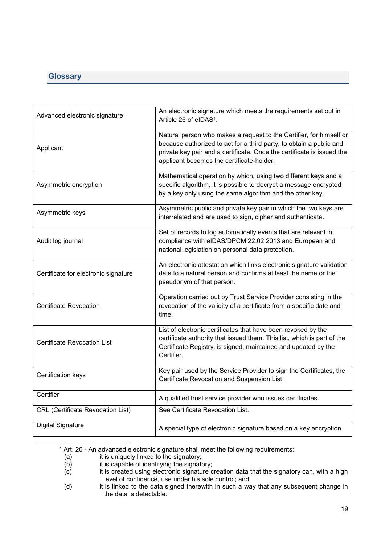## <span id="page-18-0"></span>**Glossary**

| Advanced electronic signature            | An electronic signature which meets the requirements set out in<br>Article 26 of eIDAS <sup>1</sup> .                                                                                                                                                             |
|------------------------------------------|-------------------------------------------------------------------------------------------------------------------------------------------------------------------------------------------------------------------------------------------------------------------|
| Applicant                                | Natural person who makes a request to the Certifier, for himself or<br>because authorized to act for a third party, to obtain a public and<br>private key pair and a certificate. Once the certificate is issued the<br>applicant becomes the certificate-holder. |
| Asymmetric encryption                    | Mathematical operation by which, using two different keys and a<br>specific algorithm, it is possible to decrypt a message encrypted<br>by a key only using the same algorithm and the other key.                                                                 |
| Asymmetric keys                          | Asymmetric public and private key pair in which the two keys are<br>interrelated and are used to sign, cipher and authenticate.                                                                                                                                   |
| Audit log journal                        | Set of records to log automatically events that are relevant in<br>compliance with eIDAS/DPCM 22.02.2013 and European and<br>national legislation on personal data protection.                                                                                    |
| Certificate for electronic signature     | An electronic attestation which links electronic signature validation<br>data to a natural person and confirms at least the name or the<br>pseudonym of that person.                                                                                              |
| Certificate Revocation                   | Operation carried out by Trust Service Provider consisting in the<br>revocation of the validity of a certificate from a specific date and<br>time.                                                                                                                |
| <b>Certificate Revocation List</b>       | List of electronic certificates that have been revoked by the<br>certificate authority that issued them. This list, which is part of the<br>Certificate Registry, is signed, maintained and updated by the<br>Certifier.                                          |
| Certification keys                       | Key pair used by the Service Provider to sign the Certificates, the<br>Certificate Revocation and Suspension List.                                                                                                                                                |
| Certifier                                | A qualified trust service provider who issues certificates.                                                                                                                                                                                                       |
| <b>CRL</b> (Certificate Revocation List) | See Certificate Revocation List.                                                                                                                                                                                                                                  |
| <b>Digital Signature</b>                 | A special type of electronic signature based on a key encryption                                                                                                                                                                                                  |

 $1$  Art. 26 - An advanced electronic signature shall meet the following requirements:

1

<sup>(</sup>a) it is uniquely linked to the signatory;

<sup>(</sup>b) it is capable of identifying the signatory;

<sup>(</sup>c) it is created using electronic signature creation data that the signatory can, with a high level of confidence, use under his sole control; and

<sup>(</sup>d) it is linked to the data signed therewith in such a way that any subsequent change in the data is detectable.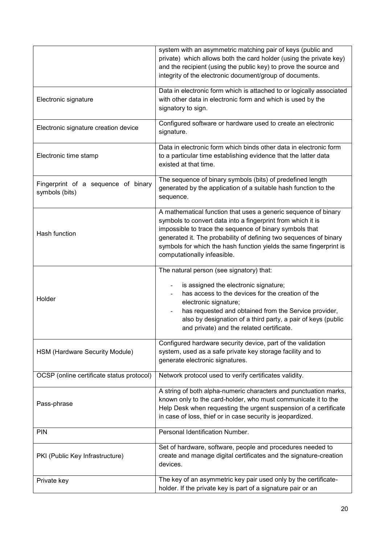|                                                       | system with an asymmetric matching pair of keys (public and<br>private) which allows both the card holder (using the private key)<br>and the recipient (using the public key) to prove the source and<br>integrity of the electronic document/group of documents.                                                                                                  |
|-------------------------------------------------------|--------------------------------------------------------------------------------------------------------------------------------------------------------------------------------------------------------------------------------------------------------------------------------------------------------------------------------------------------------------------|
| Electronic signature                                  | Data in electronic form which is attached to or logically associated<br>with other data in electronic form and which is used by the<br>signatory to sign.                                                                                                                                                                                                          |
| Electronic signature creation device                  | Configured software or hardware used to create an electronic<br>signature.                                                                                                                                                                                                                                                                                         |
| Electronic time stamp                                 | Data in electronic form which binds other data in electronic form<br>to a particular time establishing evidence that the latter data<br>existed at that time.                                                                                                                                                                                                      |
| Fingerprint of a sequence of binary<br>symbols (bits) | The sequence of binary symbols (bits) of predefined length<br>generated by the application of a suitable hash function to the<br>sequence.                                                                                                                                                                                                                         |
| Hash function                                         | A mathematical function that uses a generic sequence of binary<br>symbols to convert data into a fingerprint from which it is<br>impossible to trace the sequence of binary symbols that<br>generated it. The probability of defining two sequences of binary<br>symbols for which the hash function yields the same fingerprint is<br>computationally infeasible. |
| Holder                                                | The natural person (see signatory) that:<br>is assigned the electronic signature;<br>has access to the devices for the creation of the<br>electronic signature;<br>has requested and obtained from the Service provider,<br>also by designation of a third party, a pair of keys (public<br>and private) and the related certificate.                              |
| HSM (Hardware Security Module)                        | Configured hardware security device, part of the validation<br>system, used as a safe private key storage facility and to<br>generate electronic signatures.                                                                                                                                                                                                       |
| OCSP (online certificate status protocol)             | Network protocol used to verify certificates validity.                                                                                                                                                                                                                                                                                                             |
| Pass-phrase                                           | A string of both alpha-numeric characters and punctuation marks,<br>known only to the card-holder, who must communicate it to the<br>Help Desk when requesting the urgent suspension of a certificate<br>in case of loss, thief or in case security is jeopardized.                                                                                                |
| PIN                                                   | Personal Identification Number.                                                                                                                                                                                                                                                                                                                                    |
| PKI (Public Key Infrastructure)                       | Set of hardware, software, people and procedures needed to<br>create and manage digital certificates and the signature-creation<br>devices.                                                                                                                                                                                                                        |
| Private key                                           | The key of an asymmetric key pair used only by the certificate-<br>holder. If the private key is part of a signature pair or an                                                                                                                                                                                                                                    |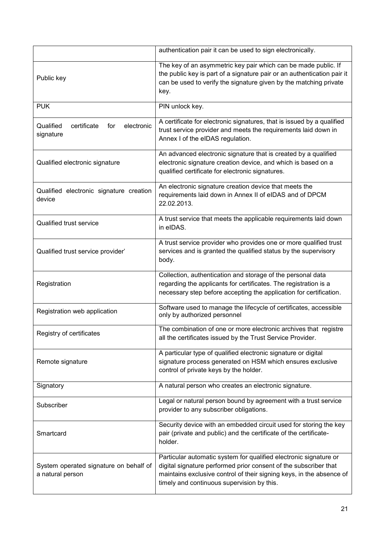|                                                            | authentication pair it can be used to sign electronically.                                                                                                                                                                                                  |
|------------------------------------------------------------|-------------------------------------------------------------------------------------------------------------------------------------------------------------------------------------------------------------------------------------------------------------|
| Public key                                                 | The key of an asymmetric key pair which can be made public. If<br>the public key is part of a signature pair or an authentication pair it<br>can be used to verify the signature given by the matching private<br>key.                                      |
| <b>PUK</b>                                                 | PIN unlock key.                                                                                                                                                                                                                                             |
| Qualified<br>certificate<br>for<br>electronic<br>signature | A certificate for electronic signatures, that is issued by a qualified<br>trust service provider and meets the requirements laid down in<br>Annex I of the eIDAS regulation.                                                                                |
| Qualified electronic signature                             | An advanced electronic signature that is created by a qualified<br>electronic signature creation device, and which is based on a<br>qualified certificate for electronic signatures.                                                                        |
| Qualified electronic signature creation<br>device          | An electronic signature creation device that meets the<br>requirements laid down in Annex II of eIDAS and of DPCM<br>22.02.2013.                                                                                                                            |
| <b>Qualified trust service</b>                             | A trust service that meets the applicable requirements laid down<br>in eIDAS.                                                                                                                                                                               |
| Qualified trust service provider'                          | A trust service provider who provides one or more qualified trust<br>services and is granted the qualified status by the supervisory<br>body.                                                                                                               |
| Registration                                               | Collection, authentication and storage of the personal data<br>regarding the applicants for certificates. The registration is a<br>necessary step before accepting the application for certification.                                                       |
| Registration web application                               | Software used to manage the lifecycle of certificates, accessible<br>only by authorized personnel                                                                                                                                                           |
| Registry of certificates                                   | The combination of one or more electronic archives that registre<br>all the certificates issued by the Trust Service Provider.                                                                                                                              |
| Remote signature                                           | A particular type of qualified electronic signature or digital<br>signature process generated on HSM which ensures exclusive<br>control of private keys by the holder.                                                                                      |
| Signatory                                                  | A natural person who creates an electronic signature.                                                                                                                                                                                                       |
| Subscriber                                                 | Legal or natural person bound by agreement with a trust service<br>provider to any subscriber obligations.                                                                                                                                                  |
| Smartcard                                                  | Security device with an embedded circuit used for storing the key<br>pair (private and public) and the certificate of the certificate-<br>holder.                                                                                                           |
| System operated signature on behalf of<br>a natural person | Particular automatic system for qualified electronic signature or<br>digital signature performed prior consent of the subscriber that<br>maintains exclusive control of their signing keys, in the absence of<br>timely and continuous supervision by this. |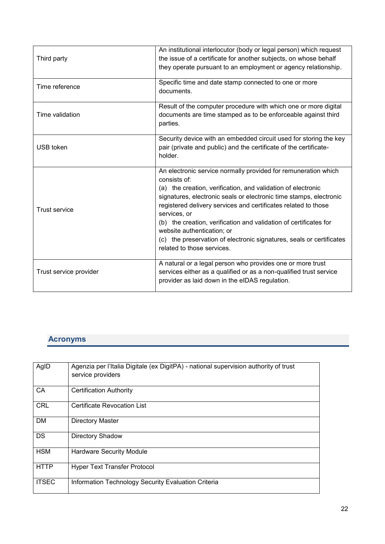| Third party            | An institutional interlocutor (body or legal person) which request<br>the issue of a certificate for another subjects, on whose behalf<br>they operate pursuant to an employment or agency relationship.                                                                                                                                                                                                                                                                                                        |
|------------------------|-----------------------------------------------------------------------------------------------------------------------------------------------------------------------------------------------------------------------------------------------------------------------------------------------------------------------------------------------------------------------------------------------------------------------------------------------------------------------------------------------------------------|
| Time reference         | Specific time and date stamp connected to one or more<br>documents.                                                                                                                                                                                                                                                                                                                                                                                                                                             |
| Time validation        | Result of the computer procedure with which one or more digital<br>documents are time stamped as to be enforceable against third<br>parties.                                                                                                                                                                                                                                                                                                                                                                    |
| <b>USB</b> token       | Security device with an embedded circuit used for storing the key<br>pair (private and public) and the certificate of the certificate-<br>holder.                                                                                                                                                                                                                                                                                                                                                               |
| <b>Trust service</b>   | An electronic service normally provided for remuneration which<br>consists of:<br>(a) the creation, verification, and validation of electronic<br>signatures, electronic seals or electronic time stamps, electronic<br>registered delivery services and certificates related to those<br>services, or<br>(b) the creation, verification and validation of certificates for<br>website authentication; or<br>(c) the preservation of electronic signatures, seals or certificates<br>related to those services. |
| Trust service provider | A natural or a legal person who provides one or more trust<br>services either as a qualified or as a non-qualified trust service<br>provider as laid down in the eIDAS regulation.                                                                                                                                                                                                                                                                                                                              |

# **Acronyms**

| AgID         | Agenzia per l'Italia Digitale (ex DigitPA) - national supervision authority of trust<br>service providers |
|--------------|-----------------------------------------------------------------------------------------------------------|
| CA           | <b>Certification Authority</b>                                                                            |
| <b>CRL</b>   | Certificate Revocation List                                                                               |
| DM           | <b>Directory Master</b>                                                                                   |
| <b>DS</b>    | <b>Directory Shadow</b>                                                                                   |
| <b>HSM</b>   | <b>Hardware Security Module</b>                                                                           |
| <b>HTTP</b>  | <b>Hyper Text Transfer Protocol</b>                                                                       |
| <b>ITSEC</b> | Information Technology Security Evaluation Criteria                                                       |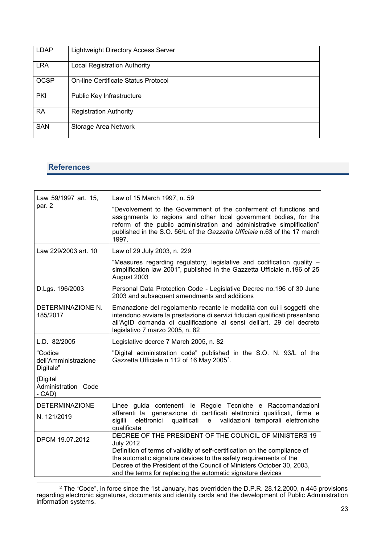| <b>LDAP</b> | <b>Lightweight Directory Access Server</b> |
|-------------|--------------------------------------------|
| <b>LRA</b>  | <b>Local Registration Authority</b>        |
| <b>OCSP</b> | On-line Certificate Status Protocol        |
| <b>PKI</b>  | Public Key Infrastructure                  |
| <b>RA</b>   | <b>Registration Authority</b>              |
| <b>SAN</b>  | Storage Area Network                       |

## **References**

| Law 59/1997 art. 15,<br>par. 2               | Law of 15 March 1997, n. 59<br>"Devolvement to the Government of the conferment of functions and<br>assignments to regions and other local government bodies, for the<br>reform of the public administration and administrative simplification"<br>published in the S.O. 56/L of the Gazzetta Ufficiale n.63 of the 17 march<br>1997.                                 |
|----------------------------------------------|-----------------------------------------------------------------------------------------------------------------------------------------------------------------------------------------------------------------------------------------------------------------------------------------------------------------------------------------------------------------------|
| Law 229/2003 art. 10                         | Law of 29 July 2003, n. 229                                                                                                                                                                                                                                                                                                                                           |
|                                              | "Measures regarding regulatory, legislative and codification quality -<br>simplification law 2001", published in the Gazzetta Ufficiale n.196 of 25<br>August 2003                                                                                                                                                                                                    |
| D.Lgs. 196/2003                              | Personal Data Protection Code - Legislative Decree no.196 of 30 June<br>2003 and subsequent amendments and additions                                                                                                                                                                                                                                                  |
| DETERMINAZIONE N.<br>185/2017                | Emanazione del regolamento recante le modalità con cui i soggetti che<br>intendono avviare la prestazione di servizi fiduciari qualificati presentano<br>all'AgID domanda di qualificazione ai sensi dell'art. 29 del decreto<br>legislativo 7 marzo 2005, n. 82                                                                                                      |
| L.D. 82/2005                                 | Legislative decree 7 March 2005, n. 82                                                                                                                                                                                                                                                                                                                                |
| "Codice<br>dell'Amministrazione<br>Digitale" | "Digital administration code" published in the S.O. N. 93/L of the<br>Gazzetta Ufficiale n.112 of 16 May 2005 <sup>2</sup> .                                                                                                                                                                                                                                          |
| (Digital<br>Administration Code<br>- CAD)    |                                                                                                                                                                                                                                                                                                                                                                       |
| <b>DETERMINAZIONE</b><br>N. 121/2019         | Linee guida contenenti le Regole Tecniche e Raccomandazioni<br>afferenti la generazione di certificati elettronici qualificati, firme e<br>sigilli<br>elettronici<br>qualificati<br>validazioni temporali elettroniche<br>e<br>qualificate                                                                                                                            |
| DPCM 19.07.2012                              | DECREE OF THE PRESIDENT OF THE COUNCIL OF MINISTERS 19<br><b>July 2012</b><br>Definition of terms of validity of self-certification on the compliance of<br>the automatic signature devices to the safety requirements of the<br>Decree of the President of the Council of Ministers October 30, 2003,<br>and the terms for replacing the automatic signature devices |

**<sup>.</sup>** <sup>2</sup> The "Code", in force since the 1st January, has overridden the D.P.R. 28.12.2000, n.445 provisions regarding electronic signatures, documents and identity cards and the development of Public Administration information systems.